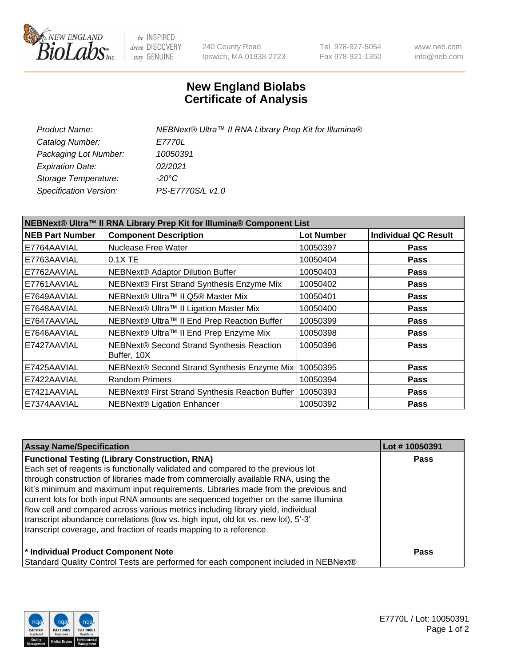

be INSPIRED drive DISCOVERY stay GENUINE

240 County Road Ipswich, MA 01938-2723 Tel 978-927-5054 Fax 978-921-1350 www.neb.com info@neb.com

## **New England Biolabs Certificate of Analysis**

| NEBNext® Ultra™ II RNA Library Prep Kit for Illumina® |
|-------------------------------------------------------|
| <i>E7770L</i>                                         |
| 10050391                                              |
| 02/2021                                               |
| -20°C                                                 |
| PS-E7770S/L v1.0                                      |
|                                                       |

| NEBNext® Ultra™ II RNA Library Prep Kit for Illumina® Component List |                                                            |                   |                             |  |
|----------------------------------------------------------------------|------------------------------------------------------------|-------------------|-----------------------------|--|
| <b>NEB Part Number</b>                                               | <b>Component Description</b>                               | <b>Lot Number</b> | <b>Individual QC Result</b> |  |
| E7764AAVIAL                                                          | Nuclease Free Water                                        | 10050397          | <b>Pass</b>                 |  |
| E7763AAVIAL                                                          | $0.1X$ TE                                                  | 10050404          | <b>Pass</b>                 |  |
| E7762AAVIAL                                                          | <b>NEBNext® Adaptor Dilution Buffer</b>                    | 10050403          | <b>Pass</b>                 |  |
| E7761AAVIAL                                                          | NEBNext® First Strand Synthesis Enzyme Mix                 | 10050402          | <b>Pass</b>                 |  |
| E7649AAVIAL                                                          | NEBNext® Ultra™ II Q5® Master Mix                          | 10050401          | <b>Pass</b>                 |  |
| E7648AAVIAL                                                          | NEBNext® Ultra™ II Ligation Master Mix                     | 10050400          | <b>Pass</b>                 |  |
| E7647AAVIAL                                                          | NEBNext® Ultra™ II End Prep Reaction Buffer                | 10050399          | <b>Pass</b>                 |  |
| E7646AAVIAL                                                          | NEBNext® Ultra™ II End Prep Enzyme Mix                     | 10050398          | <b>Pass</b>                 |  |
| E7427AAVIAL                                                          | NEBNext® Second Strand Synthesis Reaction<br>Buffer, 10X   | 10050396          | <b>Pass</b>                 |  |
| E7425AAVIAL                                                          | NEBNext® Second Strand Synthesis Enzyme Mix                | 10050395          | <b>Pass</b>                 |  |
| E7422AAVIAL                                                          | <b>Random Primers</b>                                      | 10050394          | <b>Pass</b>                 |  |
| E7421AAVIAL                                                          | NEBNext® First Strand Synthesis Reaction Buffer   10050393 |                   | <b>Pass</b>                 |  |
| E7374AAVIAL                                                          | NEBNext® Ligation Enhancer                                 | 10050392          | <b>Pass</b>                 |  |

| <b>Assay Name/Specification</b>                                                      | Lot #10050391 |
|--------------------------------------------------------------------------------------|---------------|
| <b>Functional Testing (Library Construction, RNA)</b>                                | <b>Pass</b>   |
| Each set of reagents is functionally validated and compared to the previous lot      |               |
| through construction of libraries made from commercially available RNA, using the    |               |
| kit's minimum and maximum input requirements. Libraries made from the previous and   |               |
| current lots for both input RNA amounts are sequenced together on the same Illumina  |               |
| flow cell and compared across various metrics including library yield, individual    |               |
| transcript abundance correlations (low vs. high input, old lot vs. new lot), 5'-3'   |               |
| transcript coverage, and fraction of reads mapping to a reference.                   |               |
| * Individual Product Component Note                                                  | <b>Pass</b>   |
| Standard Quality Control Tests are performed for each component included in NEBNext® |               |